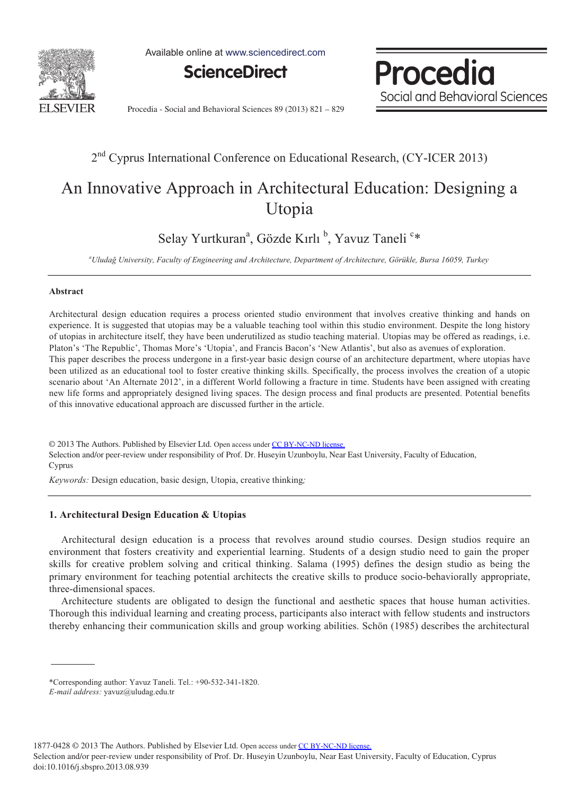

Available online at www.sciencedirect.com



Procedia Social and Behavioral Sciences

Procedia - Social and Behavioral Sciences 89 (2013) 821 – 829

### 2nd Cyprus International Conference on Educational Research, (CY-ICER 2013)

## An Innovative Approach in Architectural Education: Designing a Utopia

Selay Yurtkuran<sup>a</sup>, Gözde Kırlı <sup>b</sup>, Yavuz Taneli <sup>c</sup>\*

*a Uludağ University, Faculty of Engineering and Architecture, Department of Architecture, Görükle, Bursa 16059, Turkey* 

#### **Abstract**

Architectural design education requires a process oriented studio environment that involves creative thinking and hands on experience. It is suggested that utopias may be a valuable teaching tool within this studio environment. Despite the long history of utopias in architecture itself, they have been underutilized as studio teaching material. Utopias may be offered as readings, i.e. Platon's 'The Republic', Thomas More's 'Utopia', and Francis Bacon's 'New Atlantis', but also as avenues of exploration. This paper describes the process undergone in a first-year basic design course of an architecture department, where utopias have been utilized as an educational tool to foster creative thinking skills. Specifically, the process involves the creation of a utopic scenario about 'An Alternate 2012', in a different World following a fracture in time. Students have been assigned with creating new life forms and appropriately designed living spaces. The design process and final products are presented. Potential benefits of this innovative educational approach are discussed further in the article.

© 2013 The Authors. Published by Elsevier Ltd. Open access under [CC BY-NC-ND license.](http://creativecommons.org/licenses/by-nc-nd/3.0/)<br>Cada at atau at atau at atau academy, North Academy, North Academy, North Academy, North Academy, North Academ Selection and/or peer-review under responsibility of Prof. Dr. Huseyin Uzunboylu, Near East University, Faculty of Education, Cyprus

*Keywords:* Design education, basic design, Utopia, creative thinking*;* 

### **1. Architectural Design Education & Utopias**

Architectural design education is a process that revolves around studio courses. Design studios require an environment that fosters creativity and experiential learning. Students of a design studio need to gain the proper skills for creative problem solving and critical thinking. Salama (1995) defines the design studio as being the primary environment for teaching potential architects the creative skills to produce socio-behaviorally appropriate, three-dimensional spaces.

Architecture students are obligated to design the functional and aesthetic spaces that house human activities. Thorough this individual learning and creating process, participants also interact with fellow students and instructors thereby enhancing their communication skills and group working abilities. Schön (1985) describes the architectural

1877-0428 © 2013 The Authors. Published by Elsevier Ltd. Open access under [CC BY-NC-ND license.](http://creativecommons.org/licenses/by-nc-nd/3.0/)

Selection and/or peer-review under responsibility of Prof. Dr. Huseyin Uzunboylu, Near East University, Faculty of Education, Cyprus doi: 10.1016/j.sbspro.2013.08.939

<sup>\*</sup>Corresponding author: Yavuz Taneli. Tel.: +90-532-341-1820.

*E-mail address:* yavuz@uludag.edu.tr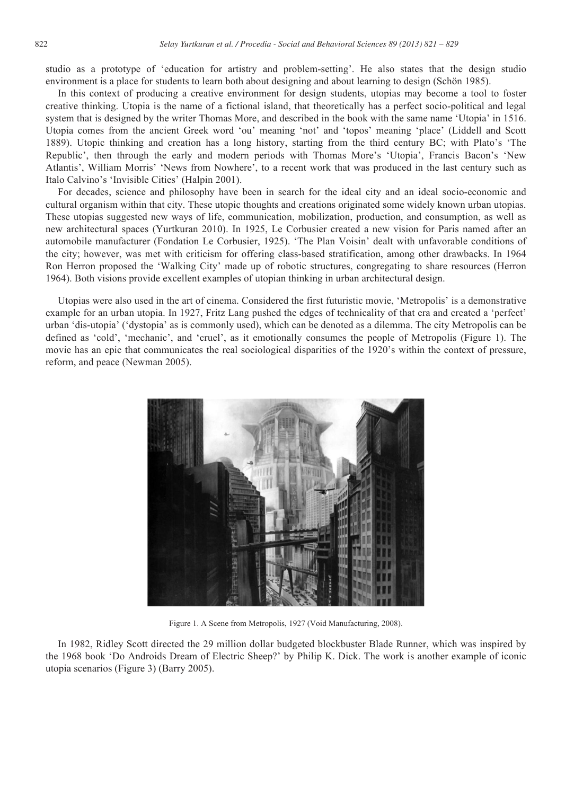studio as a prototype of 'education for artistry and problem-setting'. He also states that the design studio environment is a place for students to learn both about designing and about learning to design (Schön 1985).

In this context of producing a creative environment for design students, utopias may become a tool to foster creative thinking. Utopia is the name of a fictional island, that theoretically has a perfect socio-political and legal system that is designed by the writer Thomas More, and described in the book with the same name 'Utopia' in 1516. Utopia comes from the ancient Greek word 'ou' meaning 'not' and 'topos' meaning 'place' (Liddell and Scott 1889). Utopic thinking and creation has a long history, starting from the third century BC; with Plato's 'The Republic', then through the early and modern periods with Thomas More's 'Utopia', Francis Bacon's 'New Atlantis', William Morris' 'News from Nowhere', to a recent work that was produced in the last century such as Italo Calvino's 'Invisible Cities' (Halpin 2001).

For decades, science and philosophy have been in search for the ideal city and an ideal socio-economic and cultural organism within that city. These utopic thoughts and creations originated some widely known urban utopias. These utopias suggested new ways of life, communication, mobilization, production, and consumption, as well as new architectural spaces (Yurtkuran 2010). In 1925, Le Corbusier created a new vision for Paris named after an automobile manufacturer (Fondation Le Corbusier, 1925). 'The Plan Voisin' dealt with unfavorable conditions of the city; however, was met with criticism for offering class-based stratification, among other drawbacks. In 1964 Ron Herron proposed the 'Walking City' made up of robotic structures, congregating to share resources (Herron 1964). Both visions provide excellent examples of utopian thinking in urban architectural design.

Utopias were also used in the art of cinema. Considered the first futuristic movie, 'Metropolis' is a demonstrative example for an urban utopia. In 1927, Fritz Lang pushed the edges of technicality of that era and created a 'perfect' urban 'dis-utopia' ('dystopia' as is commonly used), which can be denoted as a dilemma. The city Metropolis can be defined as 'cold', 'mechanic', and 'cruel', as it emotionally consumes the people of Metropolis (Figure 1). The movie has an epic that communicates the real sociological disparities of the 1920's within the context of pressure, reform, and peace (Newman 2005).



Figure 1. A Scene from Metropolis, 1927 (Void Manufacturing, 2008).

In 1982, Ridley Scott directed the 29 million dollar budgeted blockbuster Blade Runner, which was inspired by the 1968 book 'Do Androids Dream of Electric Sheep?' by Philip K. Dick. The work is another example of iconic utopia scenarios (Figure 3) (Barry 2005).